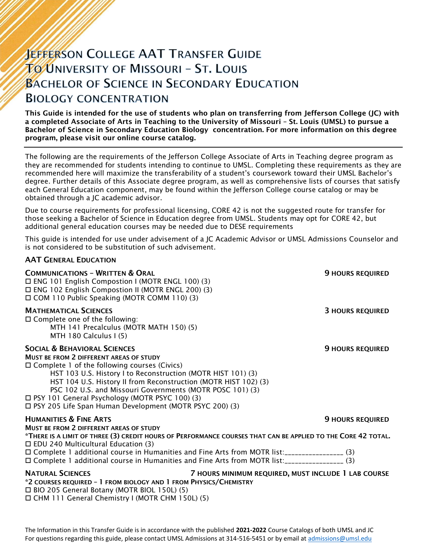# **JEFFERSON COLLEGE AAT TRANSFER GUIDE TO UNIVERSITY OF MISSOURI - ST. LOUIS BACHELOR OF SCIENCE IN SECONDARY EDUCATION BIOLOGY CONCENTRATION**

This Guide is intended for the use of students who plan on transferring from Jefferson College (JC) with a completed Associate of Arts in Teaching to the University of Missouri – St. Louis (UMSL) to pursue a Bachelor of Science in Secondary Education Biology concentration. For more information on this degree program, please visit our online course catalog.

The following are the requirements of the Jefferson College Associate of Arts in Teaching degree program as they are recommended for students intending to continue to UMSL. Completing these requirements as they are recommended here will maximize the transferability of a student's coursework toward their UMSL Bachelor's degree. Further details of this Associate degree program, as well as comprehensive lists of courses that satisfy each General Education component, may be found within the Jefferson College course catalog or may be obtained through a JC academic advisor.

Due to course requirements for professional licensing, CORE 42 is not the suggested route for transfer for those seeking a Bachelor of Science in Education degree from UMSL. Students may opt for CORE 42, but additional general education courses may be needed due to DESE requirements

This guide is intended for use under advisement of a JC Academic Advisor or UMSL Admissions Counselor and is not considered to be substitution of such advisement.

#### AAT GENERAL EDUCATION

| <b>COMMUNICATIONS - WRITTEN &amp; ORAL</b><br>□ ENG 101 English Compostion I (MOTR ENGL 100) (3)<br>□ ENG 102 English Compostion II (MOTR ENGL 200) (3)<br>□ COM 110 Public Speaking (MOTR COMM 110) (3)                                                                                                                                                                                                                                                          | <b>9 HOURS REQUIRED</b> |
|-------------------------------------------------------------------------------------------------------------------------------------------------------------------------------------------------------------------------------------------------------------------------------------------------------------------------------------------------------------------------------------------------------------------------------------------------------------------|-------------------------|
| <b>MATHEMATICAL SCIENCES</b><br>$\Box$ Complete one of the following:<br>MTH 141 Precalculus (MOTR MATH 150) (5)<br>MTH 180 Calculus I (5)                                                                                                                                                                                                                                                                                                                        | <b>3 HOURS REQUIRED</b> |
| <b>SOCIAL &amp; BEHAVIORAL SCIENCES</b><br><b>MUST BE FROM 2 DIFFERENT AREAS OF STUDY</b><br>$\Box$ Complete 1 of the following courses (Civics)<br>HST 103 U.S. History I to Reconstruction (MOTR HIST 101) (3)<br>HST 104 U.S. History II from Reconstruction (MOTR HIST 102) (3)<br>PSC 102 U.S. and Missouri Governments (MOTR POSC 101) (3)<br>□ PSY 101 General Psychology (MOTR PSYC 100) (3)<br>□ PSY 205 Life Span Human Development (MOTR PSYC 200) (3) | <b>9 HOURS REQUIRED</b> |
| <b>HUMANITIES &amp; FINE ARTS</b><br>MUST BE FROM 2 DIFFERENT AREAS OF STUDY<br>*THERE IS A LIMIT OF THREE (3) CREDIT HOURS OF PERFORMANCE COURSES THAT CAN BE APPLIED TO THE CORE 42 TOTAL.                                                                                                                                                                                                                                                                      | <b>9 HOURS REQUIRED</b> |
| $\Box$ EDU 240 Multicultural Education (3)<br>□ Complete 1 additional course in Humanities and Fine Arts from MOTR list:_________________(3)<br>□ Complete 1 additional course in Humanities and Fine Arts from MOTR list:_________________(3)                                                                                                                                                                                                                    |                         |
| <b>NATURAL SCIENCES</b><br>7 HOURS MINIMUM REQUIRED, MUST INCLUDE 1 LAB COURSE<br>*2 COURSES REQUIRED - 1 FROM BIOLOGY AND 1 FROM PHYSICS/CHEMISTRY<br>$\Box$ BIO 305 Canaral Batany (MOTB BIOL 150L) (5)                                                                                                                                                                                                                                                         |                         |

 BIO 205 General Botany (MOTR BIOL 150L) (5) CHM 111 General Chemistry I (MOTR CHM 150L) (5)

The Information in this Transfer Guide is in accordance with the published **2021-2022** Course Catalogs of both UMSL and JC For questions regarding this guide, please contact UMSL Admissions at 314-516-5451 or by email at [admissions@umsl.edu](mailto:admissions@umsl.edu)